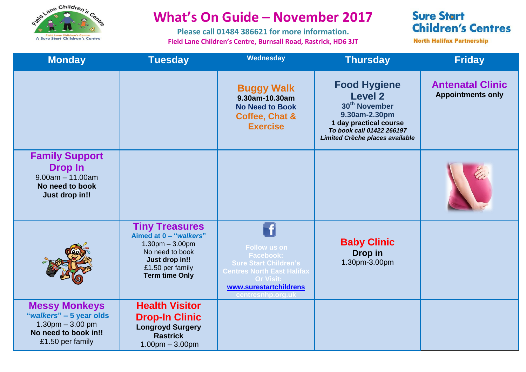

## **What's On Guide – November 2017**

**Please call 01484 386621 for more information. Field Lane Children's Centre, Burnsall Road, Rastrick, HD6 3JT**

## **Sure Start Children's Centres**

**North Halifax Partnership** 

| <b>Monday</b>                                                                                                       | <b>Tuesday</b>                                                                                                                                         | Wednesday                                                                                                                                                                       | <b>Thursday</b>                                                                                                                                                               | <b>Friday</b>                                       |
|---------------------------------------------------------------------------------------------------------------------|--------------------------------------------------------------------------------------------------------------------------------------------------------|---------------------------------------------------------------------------------------------------------------------------------------------------------------------------------|-------------------------------------------------------------------------------------------------------------------------------------------------------------------------------|-----------------------------------------------------|
|                                                                                                                     |                                                                                                                                                        | <b>Buggy Walk</b><br>9.30am-10.30am<br><b>No Need to Book</b><br>Coffee, Chat &<br><b>Exercise</b>                                                                              | <b>Food Hygiene</b><br><b>Level 2</b><br>30 <sup>th</sup> November<br>9.30am-2.30pm<br>1 day practical course<br>To book call 01422 266197<br>Limited Crèche places available | <b>Antenatal Clinic</b><br><b>Appointments only</b> |
| <b>Family Support</b><br><b>Drop In</b><br>$9.00am - 11.00am$<br>No need to book<br>Just drop in!!                  |                                                                                                                                                        |                                                                                                                                                                                 |                                                                                                                                                                               |                                                     |
|                                                                                                                     | <b>Tiny Treasures</b><br>Aimed at 0 - "walkers"<br>$1.30pm - 3.00pm$<br>No need to book<br>Just drop in!!<br>£1.50 per family<br><b>Term time Only</b> | <b>Follow us on</b><br><b>Facebook:</b><br><b>Sure Start Children's</b><br><b>Centres North East Halifax</b><br><b>Or Visit:</b><br>www.surestartchildrens<br>centresnhp.org.uk | <b>Baby Clinic</b><br>Drop in<br>1.30pm-3.00pm                                                                                                                                |                                                     |
| <b>Messy Monkeys</b><br>"walkers" - 5 year olds<br>$1.30$ pm $-3.00$ pm<br>No need to book in!!<br>£1.50 per family | <b>Health Visitor</b><br><b>Drop-In Clinic</b><br><b>Longroyd Surgery</b><br><b>Rastrick</b><br>$1.00pm - 3.00pm$                                      |                                                                                                                                                                                 |                                                                                                                                                                               |                                                     |